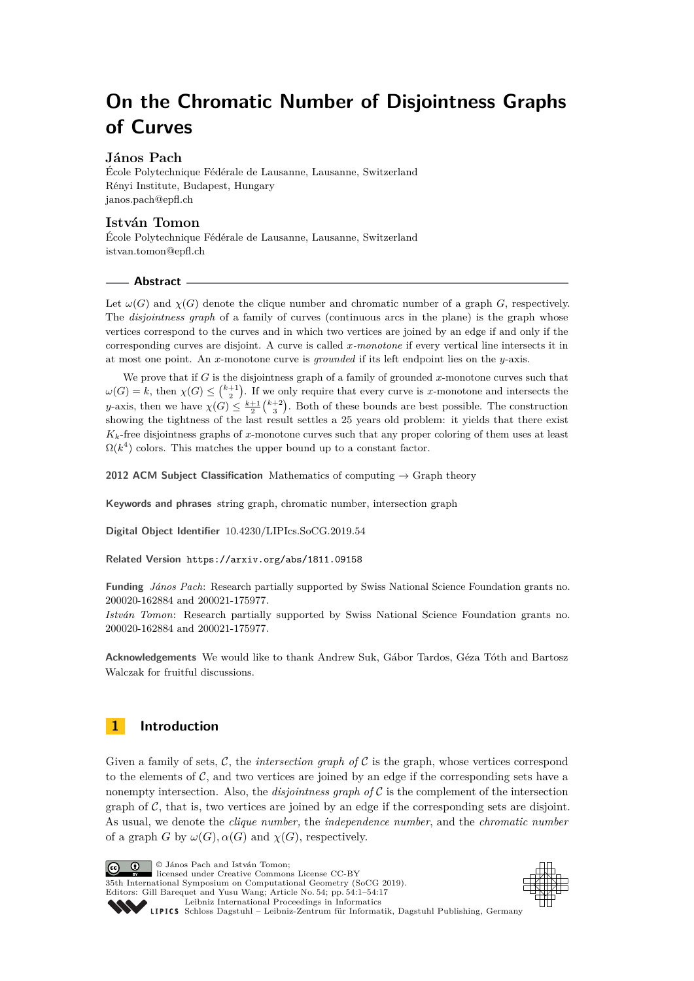# **On the Chromatic Number of Disjointness Graphs of Curves**

# **János Pach**

École Polytechnique Fédérale de Lausanne, Lausanne, Switzerland Rényi Institute, Budapest, Hungary [janos.pach@epfl.ch](mailto:janos.pach@epfl.ch)

# **István Tomon**

École Polytechnique Fédérale de Lausanne, Lausanne, Switzerland [istvan.tomon@epfl.ch](mailto:istvan.tomon@epfl.ch)

# **Abstract**

Let  $\omega(G)$  and  $\chi(G)$  denote the clique number and chromatic number of a graph *G*, respectively. The *disjointness graph* of a family of curves (continuous arcs in the plane) is the graph whose vertices correspond to the curves and in which two vertices are joined by an edge if and only if the corresponding curves are disjoint. A curve is called *x-monotone* if every vertical line intersects it in at most one point. An *x*-monotone curve is *grounded* if its left endpoint lies on the *y*-axis.

We prove that if *G* is the disjointness graph of a family of grounded *x*-monotone curves such that  $\omega(G) = k$ , then  $\chi(G) \leq {k+1 \choose 2}$ . If we only require that every curve is *x*-monotone and intersects the *y*-axis, then we have  $\chi(G) \leq \frac{k+1}{2} {k+2 \choose 3}$ . Both of these bounds are best possible. The construction showing the tightness of the last result settles a 25 years old problem: it yields that there exist  $K_k$ -free disjointness graphs of *x*-monotone curves such that any proper coloring of them uses at least  $\Omega(k^4)$  colors. This matches the upper bound up to a constant factor.

**2012 ACM Subject Classification** Mathematics of computing → Graph theory

**Keywords and phrases** string graph, chromatic number, intersection graph

**Digital Object Identifier** [10.4230/LIPIcs.SoCG.2019.54](https://doi.org/10.4230/LIPIcs.SoCG.2019.54)

**Related Version** <https://arxiv.org/abs/1811.09158>

**Funding** *János Pach*: Research partially supported by Swiss National Science Foundation grants no. 200020-162884 and 200021-175977.

*István Tomon*: Research partially supported by Swiss National Science Foundation grants no. 200020-162884 and 200021-175977.

**Acknowledgements** We would like to thank Andrew Suk, Gábor Tardos, Géza Tóth and Bartosz Walczak for fruitful discussions.

# **1 Introduction**

Given a family of sets,  $\mathcal{C}$ , the *intersection graph of*  $\mathcal{C}$  is the graph, whose vertices correspond to the elements of  $C$ , and two vertices are joined by an edge if the corresponding sets have a nonempty intersection. Also, the *disjointness graph of*  $C$  is the complement of the intersection graph of  $C$ , that is, two vertices are joined by an edge if the corresponding sets are disjoint. As usual, we denote the *clique number,* the *independence number*, and the *chromatic number* of a graph *G* by  $\omega(G)$ ,  $\alpha(G)$  and  $\gamma(G)$ , respectively.

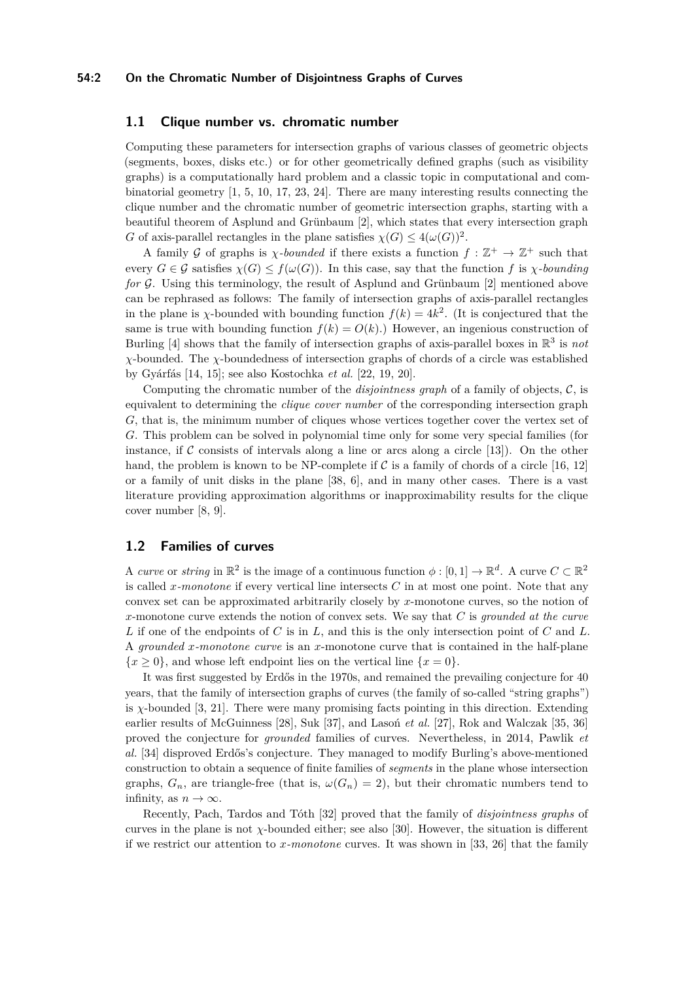## **54:2 On the Chromatic Number of Disjointness Graphs of Curves**

# **1.1 Clique number vs. chromatic number**

Computing these parameters for intersection graphs of various classes of geometric objects (segments, boxes, disks etc.) or for other geometrically defined graphs (such as visibility graphs) is a computationally hard problem and a classic topic in computational and combinatorial geometry [\[1,](#page-14-0) [5,](#page-14-1) [10,](#page-15-0) [17,](#page-15-1) [23,](#page-15-2) [24\]](#page-15-3). There are many interesting results connecting the clique number and the chromatic number of geometric intersection graphs, starting with a beautiful theorem of Asplund and Grünbaum [\[2\]](#page-14-2), which states that every intersection graph *G* of axis-parallel rectangles in the plane satisfies  $\chi(G) \leq 4(\omega(G))^2$ .

A family G of graphs is  $\chi$ -bounded if there exists a function  $f : \mathbb{Z}^+ \to \mathbb{Z}^+$  such that every  $G \in \mathcal{G}$  satisfies  $\chi(G) \leq f(\omega(G))$ . In this case, say that the function f is *χ-bounding for* G. Using this terminology, the result of Asplund and Grünbaum [\[2\]](#page-14-2) mentioned above can be rephrased as follows: The family of intersection graphs of axis-parallel rectangles in the plane is *χ*-bounded with bounding function  $f(k) = 4k^2$ . (It is conjectured that the same is true with bounding function  $f(k) = O(k)$ .) However, an ingenious construction of Burling  $[4]$  shows that the family of intersection graphs of axis-parallel boxes in  $\mathbb{R}^3$  is not *χ*-bounded. The *χ*-boundedness of intersection graphs of chords of a circle was established by Gyárfás [\[14,](#page-15-4) [15\]](#page-15-5); see also Kostochka *et al.* [\[22,](#page-15-6) [19,](#page-15-7) [20\]](#page-15-8).

Computing the chromatic number of the *disjointness graph* of a family of objects, C, is equivalent to determining the *clique cover number* of the corresponding intersection graph *G*, that is, the minimum number of cliques whose vertices together cover the vertex set of *G*. This problem can be solved in polynomial time only for some very special families (for instance, if  $\mathcal C$  consists of intervals along a line or arcs along a circle [\[13\]](#page-15-9)). On the other hand, the problem is known to be NP-complete if  $\mathcal C$  is a family of chords of a circle [\[16,](#page-15-10) [12\]](#page-15-11) or a family of unit disks in the plane [\[38,](#page-16-1) [6\]](#page-14-4), and in many other cases. There is a vast literature providing approximation algorithms or inapproximability results for the clique cover number [\[8,](#page-14-5) [9\]](#page-15-12).

# **1.2 Families of curves**

A *curve* or *string* in  $\mathbb{R}^2$  is the image of a continuous function  $\phi : [0,1] \to \mathbb{R}^d$ . A curve  $C \subset \mathbb{R}^2$ is called *x-monotone* if every vertical line intersects *C* in at most one point. Note that any convex set can be approximated arbitrarily closely by *x*-monotone curves, so the notion of *x*-monotone curve extends the notion of convex sets. We say that *C* is *grounded at the curve L* if one of the endpoints of *C* is in *L*, and this is the only intersection point of *C* and *L*. A *grounded x-monotone curve* is an *x*-monotone curve that is contained in the half-plane  ${x \geq 0}$ , and whose left endpoint lies on the vertical line  ${x = 0}$ .

It was first suggested by Erdős in the 1970s, and remained the prevailing conjecture for 40 years, that the family of intersection graphs of curves (the family of so-called "string graphs") is  $\chi$ -bounded [\[3,](#page-14-6) [21\]](#page-15-13). There were many promising facts pointing in this direction. Extending earlier results of McGuinness [\[28\]](#page-15-14), Suk [\[37\]](#page-16-2), and Lasoń *et al.* [\[27\]](#page-15-15), Rok and Walczak [\[35,](#page-16-3) [36\]](#page-16-4) proved the conjecture for *grounded* families of curves. Nevertheless, in 2014, Pawlik *et al.* [\[34\]](#page-16-5) disproved Erdős's conjecture. They managed to modify Burling's above-mentioned construction to obtain a sequence of finite families of *segments* in the plane whose intersection graphs,  $G_n$ , are triangle-free (that is,  $\omega(G_n) = 2$ ), but their chromatic numbers tend to infinity, as  $n \to \infty$ .

Recently, Pach, Tardos and Tóth [\[32\]](#page-16-6) proved that the family of *disjointness graphs* of curves in the plane is not  $\chi$ -bounded either; see also [\[30\]](#page-15-16). However, the situation is different if we restrict our attention to *x-monotone* curves. It was shown in [\[33,](#page-16-7) [26\]](#page-15-17) that the family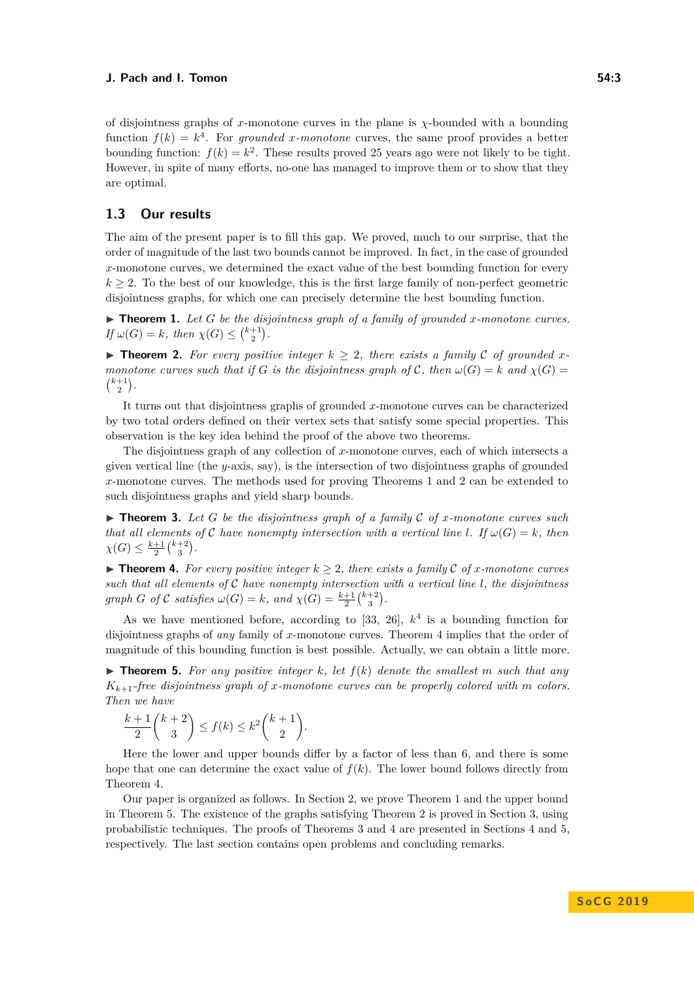of disjointness graphs of *x*-monotone curves in the plane is *χ*-bounded with a bounding function  $f(k) = k^4$ . For *grounded x-monotone* curves, the same proof provides a better bounding function:  $f(k) = k^2$ . These results proved 25 years ago were not likely to be tight. However, in spite of many efforts, no-one has managed to improve them or to show that they are optimal.

# **1.3 Our results**

The aim of the present paper is to fill this gap. We proved, much to our surprise, that the order of magnitude of the last two bounds cannot be improved. In fact, in the case of grounded *x*-monotone curves, we determined the exact value of the best bounding function for every  $k \geq 2$ . To the best of our knowledge, this is the first large family of non-perfect geometric disjointness graphs, for which one can precisely determine the best bounding function.

<span id="page-2-0"></span> $\blacktriangleright$  **Theorem 1.** Let G be the disjointness graph of a family of grounded *x*-monotone curves. *If*  $\omega(G) = k$ *, then*  $\chi(G) \leq {k+1 \choose 2}$ *.* 

<span id="page-2-1"></span>▶ **Theorem 2.** For every positive integer  $k \geq 2$ , there exists a family C of grounded x*monotone curves such that if G is the disjointness graph of*  $C$ *, then*  $\omega(G) = k$  *and*  $\chi(G) =$  $\binom{k+1}{2}$ .

It turns out that disjointness graphs of grounded *x*-monotone curves can be characterized by two total orders defined on their vertex sets that satisfy some special properties. This observation is the key idea behind the proof of the above two theorems.

The disjointness graph of any collection of *x*-monotone curves, each of which intersects a given vertical line (the *y*-axis, say), is the intersection of two disjointness graphs of grounded *x*-monotone curves. The methods used for proving Theorems [1](#page-2-0) and [2](#page-2-1) can be extended to such disjointness graphs and yield sharp bounds.

<span id="page-2-4"></span> $\triangleright$  **Theorem 3.** Let G be the disjointness graph of a family C of *x*-monotone curves such *that all elements of* C *have nonempty intersection with a vertical line l.* If  $\omega(G) = k$ , *then*  $\chi(G) \leq \frac{k+1}{2} {k+2 \choose 3}.$ 

<span id="page-2-2"></span>**► Theorem 4.** For every positive integer  $k$  > 2, there exists a family  $\mathcal{C}$  of *x*-monotone curves *such that all elements of* C *have nonempty intersection with a vertical line l, the disjointness graph G of C satisfies*  $\omega(G) = k$ *, and*  $\chi(G) = \frac{k+1}{2} {k+2 \choose 3}$ *.* 

As we have mentioned before, according to [\[33,](#page-16-7) [26\]](#page-15-17), *k* 4 is a bounding function for disjointness graphs of *any* family of *x*-monotone curves. Theorem [4](#page-2-2) implies that the order of magnitude of this bounding function is best possible. Actually, we can obtain a little more.

<span id="page-2-3"></span> $\triangleright$  **Theorem 5.** For any positive integer k, let  $f(k)$  denote the smallest m such that any  $K_{k+1}$ -free disjointness graph of *x*-monotone curves can be properly colored with *m* colors. *Then we have*

$$
\frac{k+1}{2} \binom{k+2}{3} \le f(k) \le k^2 \binom{k+1}{2}.
$$

Here the lower and upper bounds differ by a factor of less than 6, and there is some hope that one can determine the exact value of  $f(k)$ . The lower bound follows directly from Theorem [4.](#page-2-2)

Our paper is organized as follows. In Section [2,](#page-3-0) we prove Theorem [1](#page-2-0) and the upper bound in Theorem [5.](#page-2-3) The existence of the graphs satisfying Theorem [2](#page-2-1) is proved in Section [3,](#page-5-0) using probabilistic techniques. The proofs of Theorems [3](#page-2-4) and [4](#page-2-2) are presented in Sections [4](#page-10-0) and [5,](#page-12-0) respectively. The last section contains open problems and concluding remarks.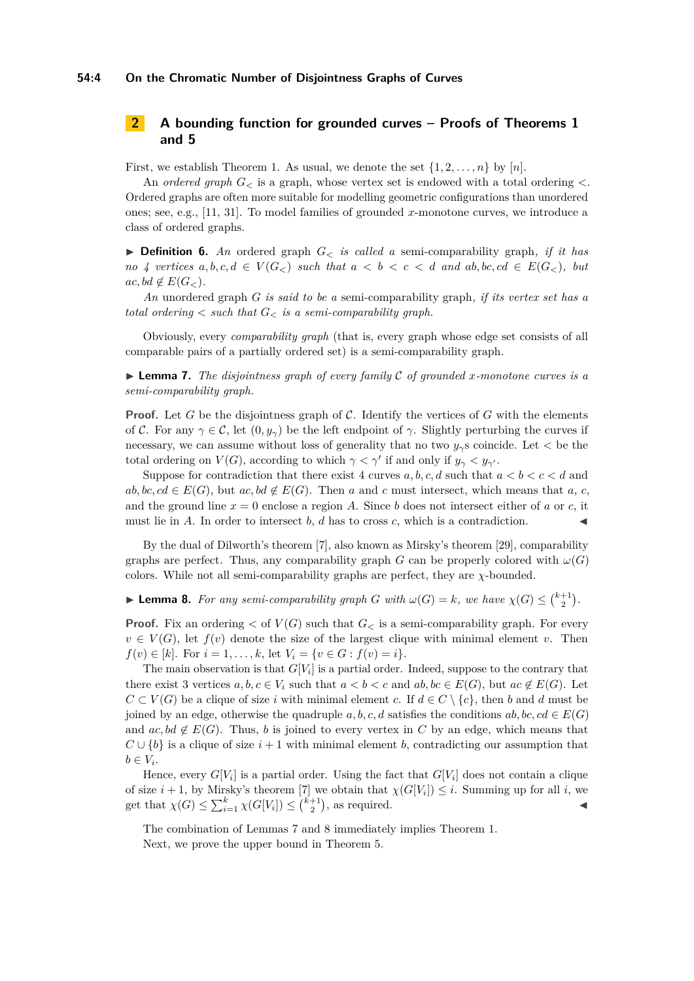## **54:4 On the Chromatic Number of Disjointness Graphs of Curves**

# <span id="page-3-0"></span>**2 A bounding function for grounded curves – Proofs of Theorems [1](#page-2-0) and [5](#page-2-3)**

First, we establish Theorem [1.](#page-2-0) As usual, we denote the set  $\{1, 2, \ldots, n\}$  by  $[n]$ .

An *ordered graph G<sup>&</sup>lt;* is a graph, whose vertex set is endowed with a total ordering *<*. Ordered graphs are often more suitable for modelling geometric configurations than unordered ones; see, e.g., [\[11,](#page-15-18) [31\]](#page-15-19). To model families of grounded *x*-monotone curves, we introduce a class of ordered graphs.

I **Definition 6.** *An* ordered graph *G<sup>&</sup>lt; is called a* semi-comparability graph*, if it has no* 4 vertices  $a, b, c, d \in V(G_{\leq})$  such that  $a < b < c < d$  and  $ab, bc, cd \in E(G_{\leq})$ , but  $ac, bd \notin E(G_{<})$ .

*An* unordered graph *G is said to be a* semi-comparability graph*, if its vertex set has a total ordering*  $\lt$  *such that*  $G_{\lt}$  *is a semi-comparability graph.* 

Obviously, every *comparability graph* (that is, every graph whose edge set consists of all comparable pairs of a partially ordered set) is a semi-comparability graph.

<span id="page-3-1"></span> $\triangleright$  **Lemma 7.** *The disjointness graph of every family* C *of grounded x-monotone curves is a semi-comparability graph.*

**Proof.** Let *G* be the disjointness graph of *C*. Identify the vertices of *G* with the elements of C. For any  $\gamma \in \mathcal{C}$ , let  $(0, y_{\gamma})$  be the left endpoint of  $\gamma$ . Slightly perturbing the curves if necessary, we can assume without loss of generality that no two *yγ*s coincide. Let *<* be the total ordering on  $V(G)$ , according to which  $\gamma < \gamma'$  if and only if  $y_{\gamma} < y_{\gamma'}$ .

Suppose for contradiction that there exist 4 curves  $a, b, c, d$  such that  $a < b < c < d$  and  $ab, bc, cd \in E(G)$ , but  $ac, bd \notin E(G)$ . Then *a* and *c* must intersect, which means that *a*, *c*, and the ground line  $x = 0$  enclose a region A. Since b does not intersect either of a or c, it must lie in *A*. In order to intersect  $b$ ,  $d$  has to cross  $c$ , which is a contradiction.

By the dual of Dilworth's theorem [\[7\]](#page-14-7), also known as Mirsky's theorem [\[29\]](#page-15-20), comparability graphs are perfect. Thus, any comparability graph *G* can be properly colored with  $\omega(G)$ colors. While not all semi-comparability graphs are perfect, they are *χ*-bounded.

<span id="page-3-2"></span>**Lemma 8.** For any semi-comparability graph *G* with  $\omega(G) = k$ , we have  $\chi(G) \leq {k+1 \choose 2}$ .

**Proof.** Fix an ordering  $\lt$  of  $V(G)$  such that  $G_{\lt}$  is a semi-comparability graph. For every  $v \in V(G)$ , let  $f(v)$  denote the size of the largest clique with minimal element *v*. Then *f*(*v*)  $\in$  [*k*]. For  $i = 1, ..., k$ , let  $V_i = \{v \in G : f(v) = i\}$ .

The main observation is that  $G[V_i]$  is a partial order. Indeed, suppose to the contrary that there exist 3 vertices  $a, b, c \in V_i$  such that  $a < b < c$  and  $ab, bc \in E(G)$ , but  $ac \notin E(G)$ . Let  $C \subset V(G)$  be a clique of size *i* with minimal element *c*. If  $d \in C \setminus \{c\}$ , then *b* and *d* must be joined by an edge, otherwise the quadruple  $a, b, c, d$  satisfies the conditions  $ab, bc, cd \in E(G)$ and  $ac, bd \notin E(G)$ . Thus, *b* is joined to every vertex in *C* by an edge, which means that  $C \cup \{b\}$  is a clique of size  $i + 1$  with minimal element *b*, contradicting our assumption that  $b \in V_i$ .

Hence, every  $G[V_i]$  is a partial order. Using the fact that  $G[V_i]$  does not contain a clique of size  $i + 1$ , by Mirsky's theorem [\[7\]](#page-14-7) we obtain that  $\chi(G[V_i]) \leq i$ . Summing up for all *i*, we get that  $\chi(G) \le \sum_{i=1}^k \chi(G[V_i]) \le \binom{k+1}{2}$ , as required.

<span id="page-3-3"></span>The combination of Lemmas [7](#page-3-1) and [8](#page-3-2) immediately implies Theorem [1.](#page-2-0) Next, we prove the upper bound in Theorem [5.](#page-2-3)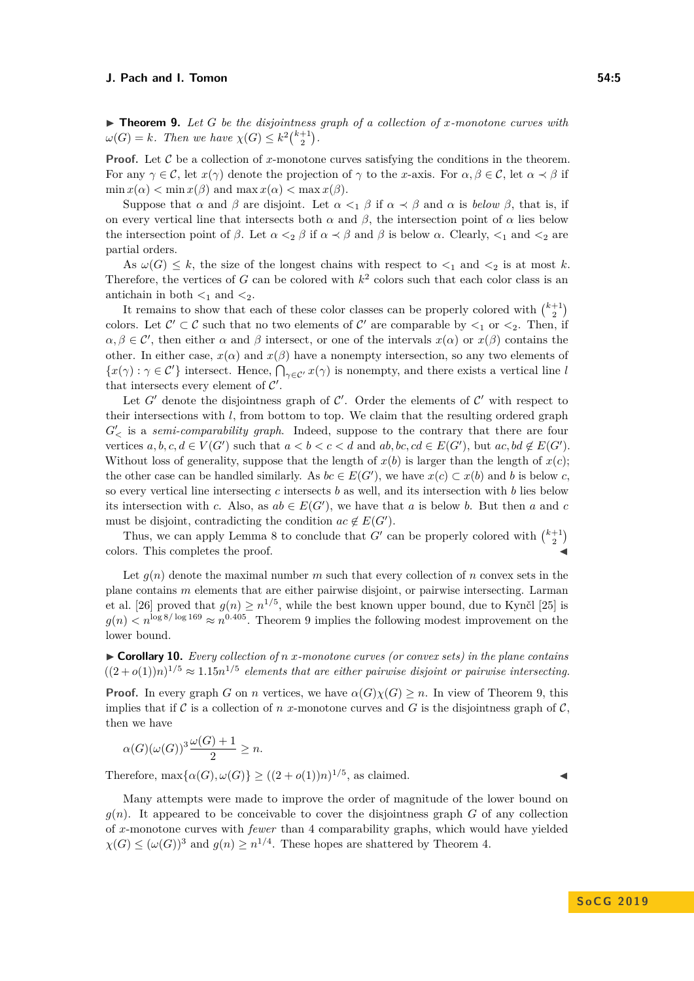▶ **Theorem 9.** Let *G* be the disjointness graph of a collection of *x*-monotone curves with  $\omega(G) = k$ *. Then we have*  $\chi(G) \leq k^2 {k+1 \choose 2}$ *.* 

**Proof.** Let  $\mathcal C$  be a collection of *x*-monotone curves satisfying the conditions in the theorem. For any  $\gamma \in \mathcal{C}$ , let  $x(\gamma)$  denote the projection of  $\gamma$  to the *x*-axis. For  $\alpha, \beta \in \mathcal{C}$ , let  $\alpha \prec \beta$  if  $\min x(\alpha) < \min x(\beta)$  and  $\max x(\alpha) < \max x(\beta)$ .

Suppose that  $\alpha$  and  $\beta$  are disjoint. Let  $\alpha <sub>1</sub> \beta$  if  $\alpha <sub>2</sub> \beta$  and  $\alpha$  is *below*  $\beta$ , that is, if on every vertical line that intersects both  $\alpha$  and  $\beta$ , the intersection point of  $\alpha$  lies below the intersection point of  $\beta$ . Let  $\alpha <_{2} \beta$  if  $\alpha \prec \beta$  and  $\beta$  is below  $\alpha$ . Clearly,  $\langle \gamma \rangle$  and  $\langle \gamma \rangle$  are partial orders.

As  $\omega(G) \leq k$ , the size of the longest chains with respect to  $\lt_1$  and  $\lt_2$  is at most k. Therefore, the vertices of  $G$  can be colored with  $k^2$  colors such that each color class is an antichain in both  $\lt_1$  and  $\lt_2$ .

It remains to show that each of these color classes can be properly colored with  $\binom{k+1}{2}$ colors. Let  $\mathcal{C}' \subset \mathcal{C}$  such that no two elements of  $\mathcal{C}'$  are comparable by  $\lt_1$  or  $\lt_2$ . Then, if  $\alpha, \beta \in \mathcal{C}'$ , then either  $\alpha$  and  $\beta$  intersect, or one of the intervals  $x(\alpha)$  or  $x(\beta)$  contains the other. In either case,  $x(\alpha)$  and  $x(\beta)$  have a nonempty intersection, so any two elements of  ${x(\gamma) : \gamma \in C'}$  intersect. Hence,  $\bigcap_{\gamma \in C'} x(\gamma)$  is nonempty, and there exists a vertical line *l* that intersects every element of  $C'$ .

Let  $G'$  denote the disjointness graph of  $\mathcal{C}'$ . Order the elements of  $\mathcal{C}'$  with respect to their intersections with  $l$ , from bottom to top. We claim that the resulting ordered graph  $G'_{\le}$  is a *semi-comparability graph*. Indeed, suppose to the contrary that there are four vertices  $a, b, c, d \in V(G')$  such that  $a < b < c < d$  and  $ab, bc, cd \in E(G')$ , but  $ac, bd \notin E(G')$ . Without loss of generality, suppose that the length of  $x(b)$  is larger than the length of  $x(c)$ ; the other case can be handled similarly. As  $bc \in E(G')$ , we have  $x(c) \subset x(b)$  and *b* is below *c*, so every vertical line intersecting *c* intersects *b* as well, and its intersection with *b* lies below its intersection with *c*. Also, as  $ab \in E(G')$ , we have that *a* is below *b*. But then *a* and *c* must be disjoint, contradicting the condition  $ac \notin E(G')$ .

Thus, we can apply Lemma [8](#page-3-2) to conclude that  $G'$  can be properly colored with  $\binom{k+1}{2}$ colors. This completes the proof.

Let  $q(n)$  denote the maximal number *m* such that every collection of *n* convex sets in the plane contains *m* elements that are either pairwise disjoint, or pairwise intersecting. Larman et al. [\[26\]](#page-15-17) proved that  $g(n) \geq n^{1/5}$ , while the best known upper bound, due to Kynčl [\[25\]](#page-15-21) is  $g(n) < n^{\log 8/\log 169} \approx n^{0.405}$ . Theorem [9](#page-3-3) implies the following modest improvement on the lower bound.

▶ **Corollary 10.** *Every collection of n x-monotone curves (or convex sets) in the plane contains*  $((2+o(1))n)^{1/5} \approx 1.15n^{1/5}$  elements that are either pairwise disjoint or pairwise intersecting.

**Proof.** In every graph *G* on *n* vertices, we have  $\alpha(G)\chi(G) \geq n$ . In view of Theorem [9,](#page-3-3) this implies that if C is a collection of *n x*-monotone curves and G is the disjointness graph of C. then we have

$$
\alpha(G)(\omega(G))^3 \frac{\omega(G)+1}{2} \ge n.
$$

Therefore,  $\max{\{\alpha(G), \omega(G)\}} \geq ((2 + o(1))n)^{1/5}$ , as claimed.

Many attempts were made to improve the order of magnitude of the lower bound on  $g(n)$ . It appeared to be conceivable to cover the disjointness graph *G* of any collection of *x*-monotone curves with *fewer* than 4 comparability graphs, which would have yielded  $\chi(G) \leq (\omega(G))^3$  and  $g(n) \geq n^{1/4}$ . These hopes are shattered by Theorem [4.](#page-2-2)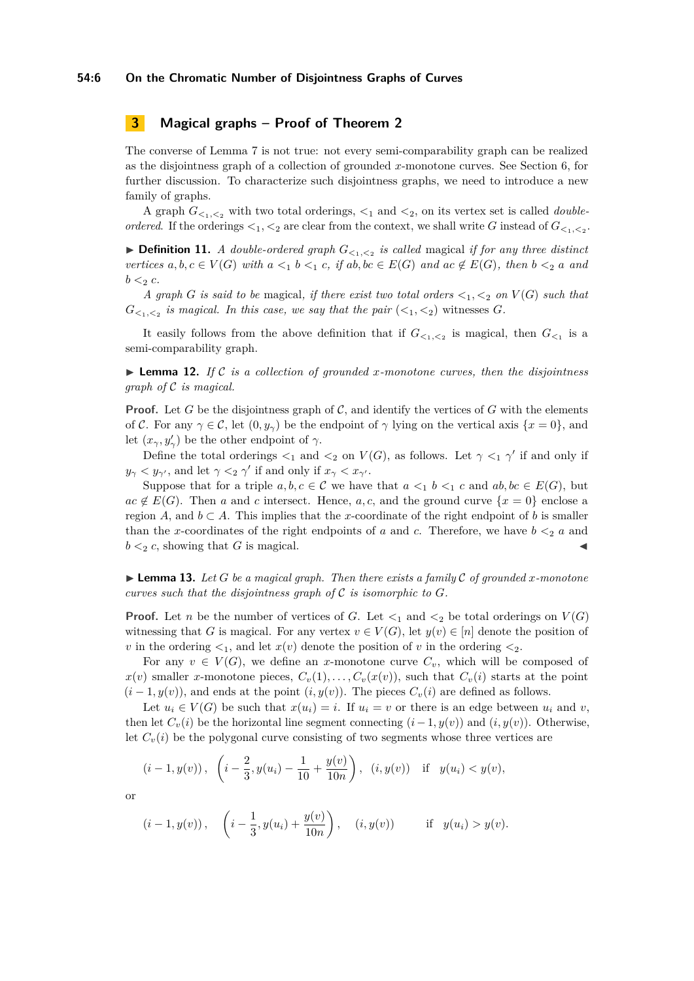# <span id="page-5-0"></span>**3 Magical graphs – Proof of Theorem [2](#page-2-1)**

The converse of Lemma [7](#page-3-1) is not true: not every semi-comparability graph can be realized as the disjointness graph of a collection of grounded *x*-monotone curves. See Section [6,](#page-14-8) for further discussion. To characterize such disjointness graphs, we need to introduce a new family of graphs.

A graph  $G_{\leq 1, \leq 2}$  with two total orderings,  $\leq_1$  and  $\leq_2$ , on its vertex set is called *doubleordered.* If the orderings  $\lt_1$ ,  $\lt_2$  are clear from the context, we shall write *G* instead of  $G_{\lt_1,\lt_2}$ .

 $\blacktriangleright$  **Definition 11.** *A double-ordered graph*  $G_{\leq_1,\leq_2}$  *is called* magical *if for any three distinct* vertices  $a, b, c \in V(G)$  with  $a \leq_1 b \leq_1 c$ , if  $ab, bc \in E(G)$  and  $ac \notin E(G)$ , then  $b \leq_2 a$  and  $b <sub>2</sub> c$ *.* 

*A* graph *G* is said to be magical, if there exist two total orders  $\lt_1$ ,  $\lt_2$  on  $V(G)$  such that  $G_{\leq 1,\leq 2}$  is magical. In this case, we say that the pair  $(\leq_1,\leq_2)$  witnesses  $G$ *.* 

It easily follows from the above definition that if  $G_{\leq 1,\leq 2}$  is magical, then  $G_{\leq 1}$  is a semi-comparability graph.

<span id="page-5-2"></span> $\triangleright$  **Lemma 12.** If C is a collection of grounded x-monotone curves, then the disjointness *graph of* C *is magical.*

**Proof.** Let *G* be the disjointness graph of  $\mathcal{C}$ , and identify the vertices of *G* with the elements of C. For any  $\gamma \in \mathcal{C}$ , let  $(0, y_{\gamma})$  be the endpoint of  $\gamma$  lying on the vertical axis  $\{x = 0\}$ , and let  $(x_{\gamma}, y_{\gamma}')$  be the other endpoint of  $\gamma$ .

Define the total orderings  $\lt_1$  and  $\lt_2$  on  $V(G)$ , as follows. Let  $\gamma \lt_1 \gamma'$  if and only if  $y_{\gamma} < y_{\gamma}$ <sup>*,*</sup>, and let  $\gamma <_2 \gamma'$  if and only if  $x_{\gamma} < x_{\gamma'}$ .

Suppose that for a triple  $a, b, c \in \mathcal{C}$  we have that  $a <_1 b <_1 c$  and  $ab, bc \in E(G)$ , but  $ac \notin E(G)$ . Then *a* and *c* intersect. Hence, *a*, *c*, and the ground curve  $\{x = 0\}$  enclose a region *A*, and  $b \subset A$ . This implies that the *x*-coordinate of the right endpoint of *b* is smaller than the *x*-coordinates of the right endpoints of *a* and *c*. Therefore, we have  $b <sub>2</sub> a$  and  $b <sub>2</sub> c$ , showing that *G* is magical.

<span id="page-5-1"></span> $\blacktriangleright$  **Lemma 13.** Let G be a magical graph. Then there exists a family C of grounded *x*-monotone *curves such that the disjointness graph of*  $\mathcal C$  *is isomorphic to*  $G$ *.* 

**Proof.** Let *n* be the number of vertices of *G*. Let  $\lt_1$  and  $\lt_2$  be total orderings on  $V(G)$ witnessing that *G* is magical. For any vertex  $v \in V(G)$ , let  $y(v) \in [n]$  denote the position of *v* in the ordering  $\lt_1$ , and let  $x(v)$  denote the position of *v* in the ordering  $\lt_2$ .

For any  $v \in V(G)$ , we define an *x*-monotone curve  $C_v$ , which will be composed of  $x(v)$  smaller *x*-monotone pieces,  $C_v(1), \ldots, C_v(x(v))$ , such that  $C_v(i)$  starts at the point  $(i-1, y(v))$ , and ends at the point  $(i, y(v))$ . The pieces  $C_v(i)$  are defined as follows.

Let  $u_i \in V(G)$  be such that  $x(u_i) = i$ . If  $u_i = v$  or there is an edge between  $u_i$  and  $v$ , then let  $C_v(i)$  be the horizontal line segment connecting  $(i-1, y(v))$  and  $(i, y(v))$ . Otherwise, let  $C_v(i)$  be the polygonal curve consisting of two segments whose three vertices are

$$
(i-1, y(v)), \left(i-\frac{2}{3}, y(u_i)-\frac{1}{10}+\frac{y(v)}{10n}\right), (i, y(v)) \text{ if } y(u_i) < y(v),
$$

or

$$
(i-1, y(v)), \quad \left(i-\frac{1}{3}, y(u_i) + \frac{y(v)}{10n}\right), \quad (i, y(v)) \quad \text{if} \quad y(u_i) > y(v).
$$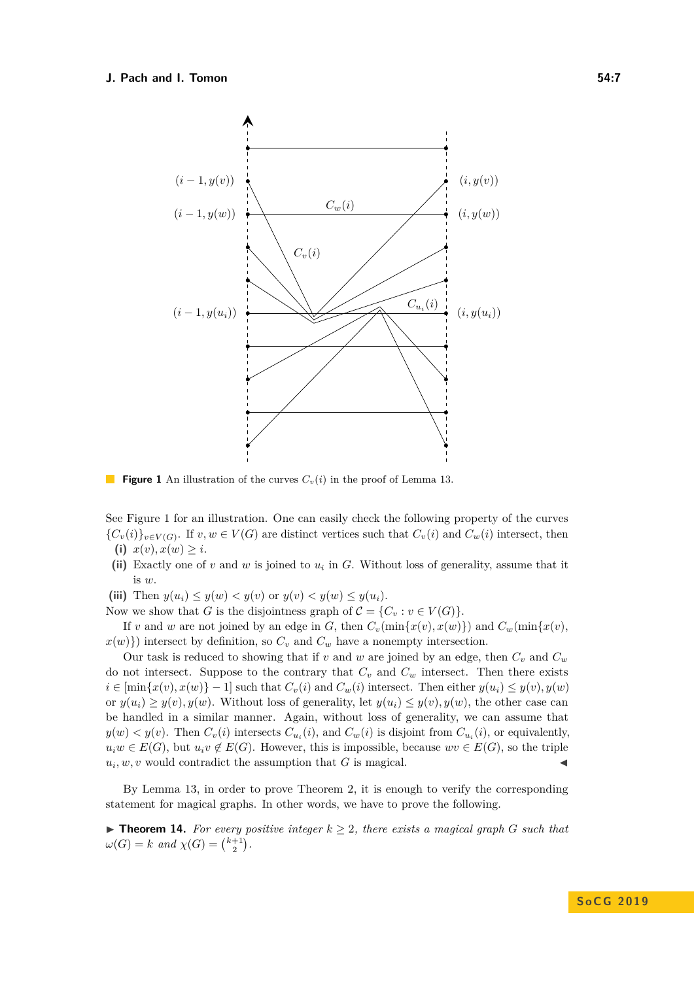<span id="page-6-0"></span>

**Figure 1** An illustration of the curves  $C_v(i)$  in the proof of Lemma [13.](#page-5-1)

See Figure [1](#page-6-0) for an illustration. One can easily check the following property of the curves  ${C_v(i)}_v \in V(G)$ . If  $v, w \in V(G)$  are distinct vertices such that  $C_v(i)$  and  $C_w(i)$  intersect, then **(i)**  $x(v), x(w) \geq i$ .

- (ii) Exactly one of  $v$  and  $w$  is joined to  $u_i$  in  $G$ . Without loss of generality, assume that it is *w*.
- (iii) Then  $y(u_i) \leq y(w) < y(v)$  or  $y(v) < y(w) \leq y(u_i)$ .

Now we show that *G* is the disjointness graph of  $\mathcal{C} = \{C_v : v \in V(G)\}.$ 

If *v* and *w* are not joined by an edge in *G*, then  $C_v(\min\{x(v), x(w)\})$  and  $C_w(\min\{x(v), x(w)\})$  $x(w)$ }) intersect by definition, so  $C_v$  and  $C_w$  have a nonempty intersection.

Our task is reduced to showing that if  $v$  and  $w$  are joined by an edge, then  $C_v$  and  $C_w$ do not intersect. Suppose to the contrary that  $C_v$  and  $C_w$  intersect. Then there exists  $i \in \left[\min\{x(v), x(w)\} - 1\right]$  such that  $C_v(i)$  and  $C_w(i)$  intersect. Then either  $y(u_i) \leq y(v), y(w)$ or  $y(u_i) \geq y(v)$ ,  $y(w)$ . Without loss of generality, let  $y(u_i) \leq y(v)$ ,  $y(w)$ , the other case can be handled in a similar manner. Again, without loss of generality, we can assume that  $y(w) < y(v)$ . Then  $C_v(i)$  intersects  $C_{u_i}(i)$ , and  $C_w(i)$  is disjoint from  $C_{u_i}(i)$ , or equivalently,  $u_iw \in E(G)$ , but  $u_iv \notin E(G)$ . However, this is impossible, because  $wv \in E(G)$ , so the triple  $u_i, w, v$  would contradict the assumption that *G* is magical.

By Lemma [13,](#page-5-1) in order to prove Theorem [2,](#page-2-1) it is enough to verify the corresponding statement for magical graphs. In other words, we have to prove the following.

<span id="page-6-1"></span>▶ **Theorem 14.** For every positive integer  $k ≥ 2$ , there exists a magical graph *G* such that  $\omega(G) = k$  *and*  $\chi(G) = \binom{k+1}{2}$ .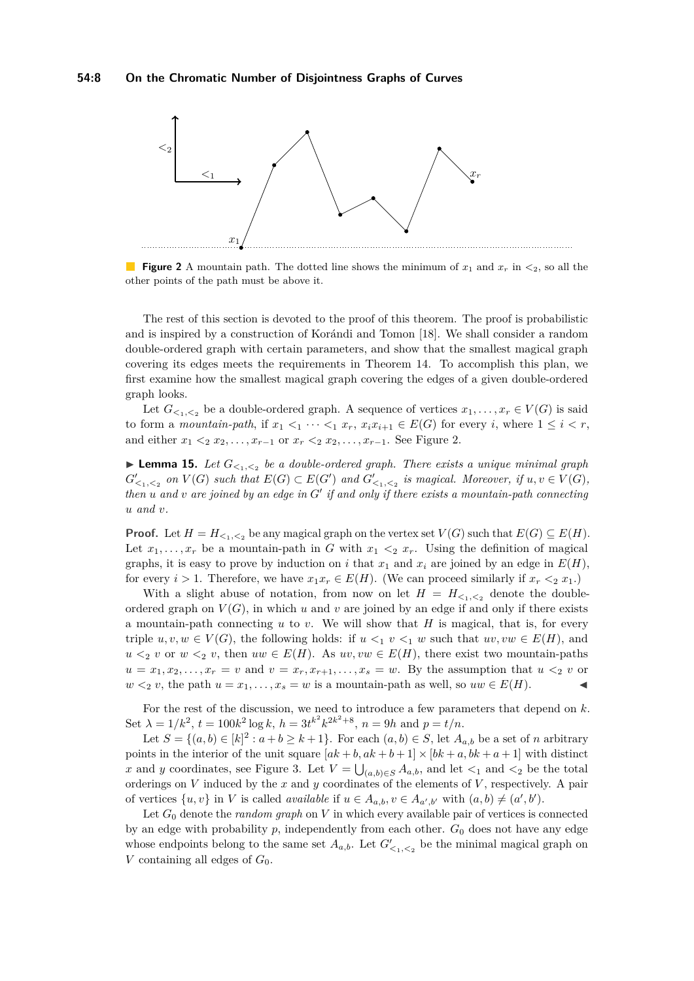<span id="page-7-0"></span>

**Figure 2** A mountain path. The dotted line shows the minimum of  $x_1$  and  $x_r$  in  $\lt_2$ , so all the other points of the path must be above it.

The rest of this section is devoted to the proof of this theorem. The proof is probabilistic and is inspired by a construction of Korándi and Tomon [\[18\]](#page-15-22). We shall consider a random double-ordered graph with certain parameters, and show that the smallest magical graph covering its edges meets the requirements in Theorem [14.](#page-6-1) To accomplish this plan, we first examine how the smallest magical graph covering the edges of a given double-ordered graph looks.

Let  $G_{\leq 1,\leq 2}$  be a double-ordered graph. A sequence of vertices  $x_1, \ldots, x_r \in V(G)$  is said to form a *mountain-path*, if  $x_1 <_1 \cdots <_1 x_r$ ,  $x_i x_{i+1} \in E(G)$  for every *i*, where  $1 \leq i < r$ , and either  $x_1 <_2 x_2, \ldots, x_{r-1}$  or  $x_r <_2 x_2, \ldots, x_{r-1}$ . See Figure [2.](#page-7-0)

**Lemma 15.** Let  $G_{\leq 1,\leq 2}$  be a double-ordered graph. There exists a unique minimal graph  $G'_{\leq_1,\leq_2}$  on  $V(G)$  such that  $E(G) \subset E(G')$  and  $G'_{\leq_1,\leq_2}$  is magical. Moreover, if  $u, v \in V(G)$ , *then*  $u$  and  $v$  are joined by an edge in  $G'$  if and only if there exists a mountain-path connecting *u and v.*

**Proof.** Let  $H = H_{\leq 1, \leq 2}$  be any magical graph on the vertex set  $V(G)$  such that  $E(G) \subseteq E(H)$ . Let  $x_1, \ldots, x_r$  be a mountain-path in *G* with  $x_1 \leq_2 x_r$ . Using the definition of magical graphs, it is easy to prove by induction on *i* that  $x_1$  and  $x_i$  are joined by an edge in  $E(H)$ , for every *i* > 1. Therefore, we have  $x_1x_r \in E(H)$ . (We can proceed similarly if  $x_r \leq_2 x_1$ .)

With a slight abuse of notation, from now on let  $H = H_{\leq 1,\leq 2}$  denote the doubleordered graph on  $V(G)$ , in which  $u$  and  $v$  are joined by an edge if and only if there exists a mountain-path connecting *u* to *v*. We will show that *H* is magical, that is, for every triple  $u, v, w \in V(G)$ , the following holds: if  $u \leq_1 v \leq_1 w$  such that  $uv, vw \in E(H)$ , and  $u \leq v$  or  $w \leq v$ , then  $uw \in E(H)$ . As  $uv, vw \in E(H)$ , there exist two mountain-paths  $u = x_1, x_2, \ldots, x_r = v$  and  $v = x_r, x_{r+1}, \ldots, x_s = w$ . By the assumption that  $u \leq_2 v$  or *w*  $\lt$ <sub>2</sub> *v*, the path *u* = *x*<sub>1</sub>, . . . , *x*<sub>*s*</sub> = *w* is a mountain-path as well, so *uw* ∈ *E*(*H*).

For the rest of the discussion, we need to introduce a few parameters that depend on *k*. Set  $\lambda = 1/k^2$ ,  $t = 100k^2 \log k$ ,  $h = 3t^{k^2} k^{2k^2+8}$ ,  $n = 9h$  and  $p = t/n$ .

Let  $S = \{(a, b) \in [k]^2 : a + b \ge k + 1\}$ . For each  $(a, b) \in S$ , let  $A_{a,b}$  be a set of *n* arbitrary points in the interior of the unit square  $[ak + b, ak + b + 1] \times [bk + a, bk + a + 1]$  with distinct *x* and *y* coordinates, see Figure [3.](#page-8-0) Let  $V = \bigcup_{(a,b)\in S} A_{a,b}$ , and let  $\lt_1$  and  $\lt_2$  be the total orderings on *V* induced by the *x* and *y* coordinates of the elements of *V* , respectively. A pair of vertices  $\{u, v\}$  in *V* is called *available* if  $u \in A_{a,b}, v \in A_{a',b'}$  with  $(a, b) \neq (a', b')$ .

Let *G*<sup>0</sup> denote the *random graph* on *V* in which every available pair of vertices is connected by an edge with probability  $p$ , independently from each other.  $G_0$  does not have any edge whose endpoints belong to the same set  $A_{a,b}$ . Let  $G'_{\leq 1,\leq 2}$  be the minimal magical graph on *V* containing all edges of  $G_0$ .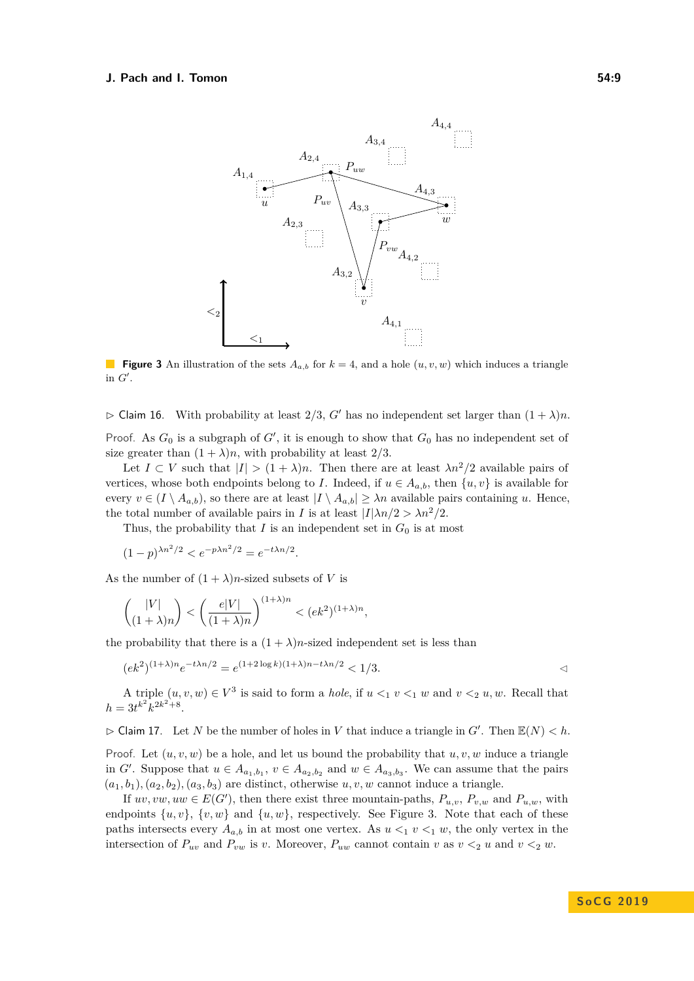<span id="page-8-0"></span>

**Figure 3** An illustration of the sets  $A_{a,b}$  for  $k = 4$ , and a hole  $(u, v, w)$  which induces a triangle in  $G'$ .

 $\triangleright$  Claim 16. With probability at least 2/3, *G'* has no independent set larger than  $(1 + \lambda)n$ . Proof. As  $G_0$  is a subgraph of  $G'$ , it is enough to show that  $G_0$  has no independent set of

size greater than  $(1 + \lambda)n$ , with probability at least 2/3.

Let  $I \subset V$  such that  $|I| > (1 + \lambda)n$ . Then there are at least  $\lambda n^2/2$  available pairs of vertices, whose both endpoints belong to *I*. Indeed, if  $u \in A_a$ , then  $\{u, v\}$  is available for every  $v \in (I \setminus A_{a,b})$ , so there are at least  $|I \setminus A_{a,b}| \geq \lambda n$  available pairs containing *u*. Hence, the total number of available pairs in *I* is at least  $|I|\lambda n/2 > \lambda n^2/2$ .

Thus, the probability that *I* is an independent set in  $G_0$  is at most

$$
(1-p)^{\lambda n^2/2} < e^{-p\lambda n^2/2} = e^{-t\lambda n/2}.
$$

As the number of  $(1 + \lambda)n$ -sized subsets of *V* is

$$
\binom{|V|}{(1+\lambda)n} < \left(\frac{e|V|}{(1+\lambda)n}\right)^{(1+\lambda)n} < (ek^2)^{(1+\lambda)n},
$$

the probability that there is a  $(1 + \lambda)n$ -sized independent set is less than

$$
(ek2)(1+\lambda)ne-t\lambda n/2 = e(1+2\log k)(1+\lambda)n-t\lambda n/2 < 1/3.
$$

A triple  $(u, v, w) \in V^3$  is said to form a *hole*, if  $u \leq_1 v \leq_1 w$  and  $v \leq_2 u, w$ . Recall that  $h = 3t^{k^2}k^{2k^2+8}.$ 

 $\triangleright$  Claim 17. Let *N* be the number of holes in *V* that induce a triangle in *G'*. Then  $\mathbb{E}(N) < h$ .

Proof. Let  $(u, v, w)$  be a hole, and let us bound the probability that  $u, v, w$  induce a triangle in *G*<sup> $\prime$ </sup>. Suppose that  $u \in A_{a_1,b_1}$ ,  $v \in A_{a_2,b_2}$  and  $w \in A_{a_3,b_3}$ . We can assume that the pairs  $(a_1, b_1), (a_2, b_2), (a_3, b_3)$  are distinct, otherwise  $u, v, w$  cannot induce a triangle.

If  $uv, vw, uw \in E(G')$ , then there exist three mountain-paths,  $P_{u,v}, P_{v,w}$  and  $P_{u,w}$ , with endpoints  $\{u, v\}$ ,  $\{v, w\}$  and  $\{u, w\}$ , respectively. See Figure [3.](#page-8-0) Note that each of these paths intersects every  $A_{a,b}$  in at most one vertex. As  $u \leq_1 v \leq_1 w$ , the only vertex in the intersection of  $P_{uv}$  and  $P_{vw}$  is *v*. Moreover,  $P_{uw}$  cannot contain *v* as  $v <_2 u$  and  $v <_2 w$ .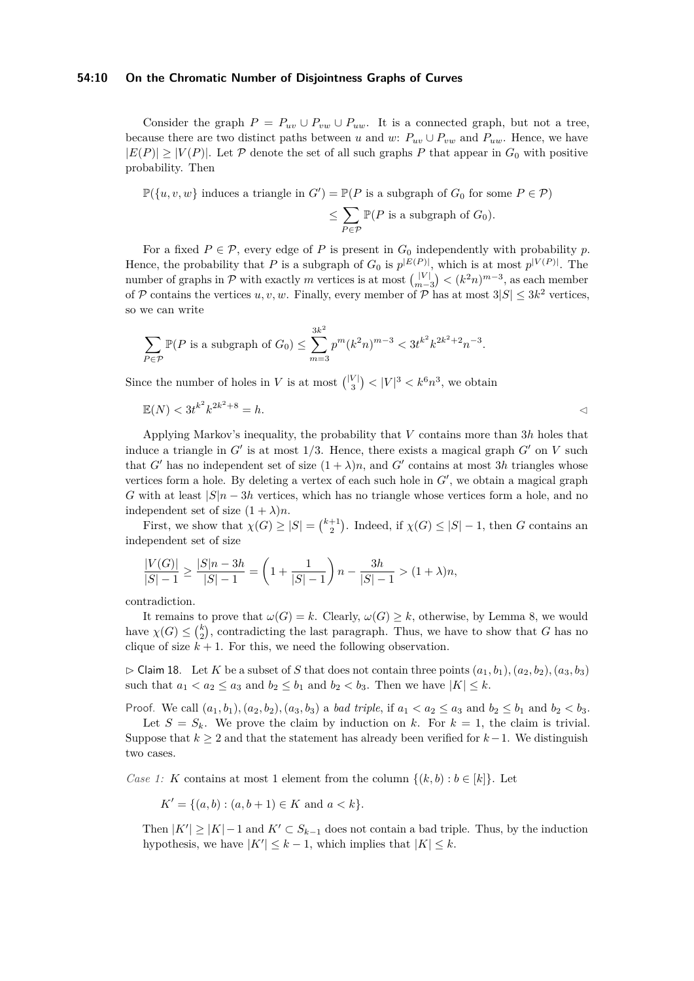#### **54:10 On the Chromatic Number of Disjointness Graphs of Curves**

Consider the graph  $P = P_{uv} \cup P_{vw} \cup P_{uw}$ . It is a connected graph, but not a tree, because there are two distinct paths between *u* and *w*:  $P_{uv} \cup P_{vw}$  and  $P_{uw}$ . Hence, we have  $|E(P)| \ge |V(P)|$ . Let P denote the set of all such graphs P that appear in  $G_0$  with positive probability. Then

 $\mathbb{P}(\{u, v, w\})$  induces a triangle in  $G'$ ) =  $\mathbb{P}(P \text{ is a subgraph of } G_0 \text{ for some } P \in \mathcal{P})$ 

$$
\leq \sum_{P \in \mathcal{P}} \mathbb{P}(P \text{ is a subgraph of } G_0).
$$

For a fixed  $P \in \mathcal{P}$ , every edge of P is present in  $G_0$  independently with probability p. Hence, the probability that *P* is a subgraph of  $G_0$  is  $p^{|E(P)|}$ , which is at most  $p^{|V(P)|}$ . The number of graphs in  $P$  with exactly  $m$  vertices is at most  $\binom{|V|}{m-3} < (k^2n)^{m-3}$ , as each member of P contains the vertices  $u, v, w$ . Finally, every member of P has at most  $3|S| \leq 3k^2$  vertices, so we can write

$$
\sum_{P \in \mathcal{P}} \mathbb{P}(P \text{ is a subgraph of } G_0) \le \sum_{m=3}^{3k^2} p^m (k^2 n)^{m-3} < 3t^{k^2} k^{2k^2+2} n^{-3}.
$$

Since the number of holes in *V* is at most  $\binom{|V|}{3} < |V|^3 < k^6 n^3$ , we obtain

$$
\mathbb{E}(N) < 3t^{k^2}k^{2k^2+8} = h. \tag{3}
$$

Applying Markov's inequality, the probability that *V* contains more than 3*h* holes that induce a triangle in  $G'$  is at most  $1/3$ . Hence, there exists a magical graph  $G'$  on  $V$  such that *G*<sup> $\prime$ </sup> has no independent set of size  $(1 + \lambda)n$ , and *G*<sup> $\prime$ </sup> contains at most 3*h* triangles whose vertices form a hole. By deleting a vertex of each such hole in  $G'$ , we obtain a magical graph *G* with at least  $|S|n - 3h$  vertices, which has no triangle whose vertices form a hole, and no independent set of size  $(1 + \lambda)n$ .

First, we show that  $\chi(G) \geq |S| = \binom{k+1}{2}$ . Indeed, if  $\chi(G) \leq |S| - 1$ , then *G* contains an independent set of size

$$
\frac{|V(G)|}{|S|-1} \ge \frac{|S|n-3h}{|S|-1} = \left(1 + \frac{1}{|S|-1}\right)n - \frac{3h}{|S|-1} > (1+\lambda)n,
$$

contradiction.

It remains to prove that  $\omega(G) = k$ . Clearly,  $\omega(G) \geq k$ , otherwise, by Lemma [8,](#page-3-2) we would have  $\chi(G) \leq {k \choose 2}$ , contradicting the last paragraph. Thus, we have to show that *G* has no clique of size  $k + 1$ . For this, we need the following observation.

<span id="page-9-0"></span> $\triangleright$  Claim 18. Let *K* be a subset of *S* that does not contain three points  $(a_1, b_1), (a_2, b_2), (a_3, b_3)$ such that  $a_1 < a_2 \le a_3$  and  $b_2 \le b_1$  and  $b_2 < b_3$ . Then we have  $|K| \le k$ .

Proof. We call  $(a_1, b_1)$ ,  $(a_2, b_2)$ ,  $(a_3, b_3)$  a *bad triple*, if  $a_1 < a_2 \le a_3$  and  $b_2 \le b_1$  and  $b_2 < b_3$ .

Let  $S = S_k$ . We prove the claim by induction on k. For  $k = 1$ , the claim is trivial. Suppose that  $k \geq 2$  and that the statement has already been verified for  $k-1$ . We distinguish two cases.

*Case 1: K* contains at most 1 element from the column  $\{(k, b) : b \in [k]\}$ . Let

$$
K' = \{(a, b) : (a, b + 1) \in K \text{ and } a < k\}.
$$

Then  $|K'| \geq |K| - 1$  and  $K' \subset S_{k-1}$  does not contain a bad triple. Thus, by the induction hypothesis, we have  $|K'| \leq k - 1$ , which implies that  $|K| \leq k$ .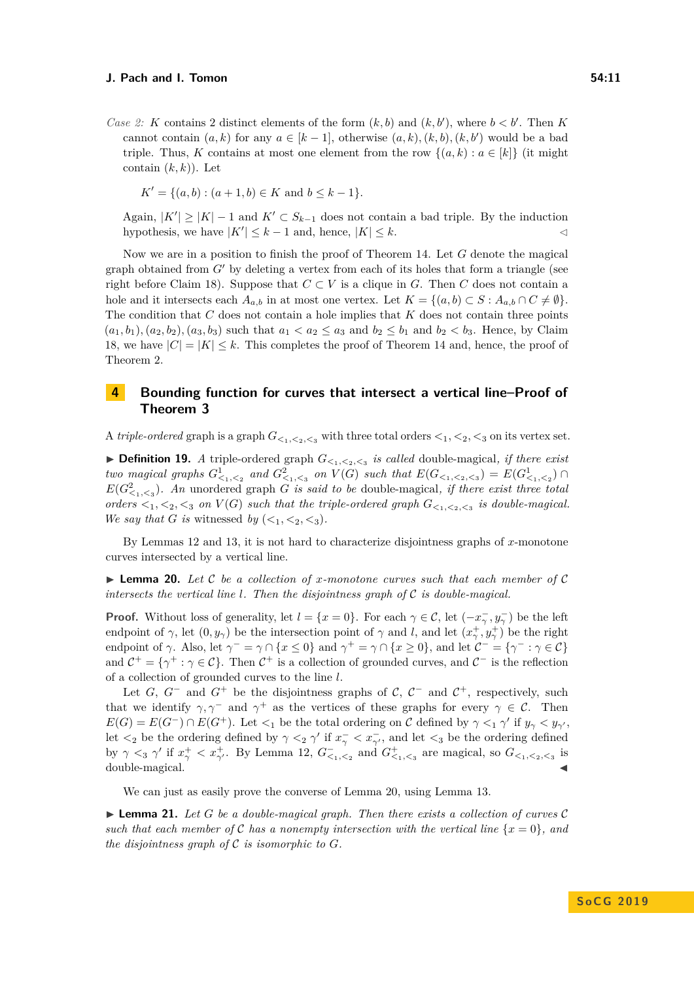*Case 2: K* contains 2 distinct elements of the form  $(k, b)$  and  $(k, b')$ , where  $b < b'$ . Then *K* cannot contain  $(a, k)$  for any  $a \in [k-1]$ , otherwise  $(a, k), (k, b), (k, b')$  would be a bad triple. Thus, *K* contains at most one element from the row  $\{(a, k) : a \in [k]\}$  (it might contain  $(k, k)$ ). Let

$$
K' = \{(a, b) : (a + 1, b) \in K \text{ and } b \le k - 1\}.
$$

Again,  $|K'| \geq |K| - 1$  and  $K' \subset S_{k-1}$  does not contain a bad triple. By the induction hypothesis, we have  $|K'| \leq k - 1$  and, hence,  $|K| \leq k$ .

Now we are in a position to finish the proof of Theorem [14.](#page-6-1) Let *G* denote the magical graph obtained from  $G'$  by deleting a vertex from each of its holes that form a triangle (see right before Claim [18\)](#page-9-0). Suppose that  $C \subset V$  is a clique in *G*. Then *C* does not contain a hole and it intersects each  $A_{a,b}$  in at most one vertex. Let  $K = \{(a,b) \subset S : A_{a,b} \cap C \neq \emptyset\}$ . The condition that *C* does not contain a hole implies that *K* does not contain three points  $(a_1, b_1), (a_2, b_2), (a_3, b_3)$  such that  $a_1 < a_2 \le a_3$  and  $b_2 \le b_1$  and  $b_2 < b_3$ . Hence, by Claim [18,](#page-9-0) we have  $|C| = |K| \leq k$ . This completes the proof of Theorem [14](#page-6-1) and, hence, the proof of Theorem [2.](#page-2-1)

# <span id="page-10-0"></span>**4 Bounding function for curves that intersect a vertical line–Proof of Theorem [3](#page-2-4)**

A *triple-ordered* graph is a graph  $G_{\leq 1, \leq 2, \leq 3}$  with three total orders  $\leq_1, \leq_2, \leq_3$  on its vertex set.

 $\blacktriangleright$  **Definition 19.** *A* triple-ordered graph  $G_{\leq_1,\leq_2,\leq_3}$  is called double-magical, if there exist two magical graphs  $G^1_{\leq_1,\leq_2}$  and  $G^2_{\leq_1,\leq_3}$  on  $V(G)$  such that  $E(G_{\leq_1,\leq_2,\leq_3}) = E(G^1_{\leq_1,\leq_2}) \cap$  $E(G<sup>2</sup><sub><1,<3</sub>)$ *. An* unordered graph *G is said to be* double-magical, *if there exist three total orders*  $\lt_1$ ,  $\lt_2$ ,  $\lt_3$  *on*  $V(G)$  *such that the triple-ordered graph*  $G_{\lt_1, \lt_2, \lt_3}$  *is double-magical. We say that G is* witnessed *by*  $(<_1, <_2, <_3$ ).

By Lemmas [12](#page-5-2) and [13,](#page-5-1) it is not hard to characterize disjointness graphs of *x*-monotone curves intersected by a vertical line.

<span id="page-10-1"></span>I **Lemma 20.** *Let* C *be a collection of x-monotone curves such that each member of* C *intersects the vertical line l. Then the disjointness graph of* C *is double-magical.*

**Proof.** Without loss of generality, let  $l = \{x = 0\}$ . For each  $\gamma \in \mathcal{C}$ , let  $(-x_{\gamma}^{-}, y_{\gamma}^{-})$  be the left endpoint of *γ*, let  $(0, y_\gamma)$  be the intersection point of *γ* and *l*, and let  $(x_\gamma^+, y_\gamma^+)$  be the right endpoint of *γ*. Also, let  $\gamma^- = \gamma \cap \{x \le 0\}$  and  $\gamma^+ = \gamma \cap \{x \ge 0\}$ , and let  $\mathcal{C}^- = \{\gamma^- : \gamma \in \mathcal{C}\}\$ and  $C^+ = \{\gamma^+ : \gamma \in C\}$ . Then  $C^+$  is a collection of grounded curves, and  $C^-$  is the reflection of a collection of grounded curves to the line *l*.

Let *G*,  $G^-$  and  $G^+$  be the disjointness graphs of  $C$ ,  $C^-$  and  $C^+$ , respectively, such that we identify  $\gamma$ ,  $\gamma$ <sup>-</sup> and  $\gamma$ <sup>+</sup> as the vertices of these graphs for every  $\gamma \in \mathcal{C}$ . Then  $E(G) = E(G^-) \cap E(G^+)$ . Let  $\lt_1$  be the total ordering on C defined by  $\gamma \lt_1 \gamma'$  if  $y_\gamma \lt y_{\gamma'}$ , let  $\lt_2$  be the ordering defined by  $\gamma \lt_2 \gamma'$  if  $x_{\gamma}^- \lt x_{\gamma'}^-$ , and let  $\lt_3$  be the ordering defined by  $\gamma <sub>3</sub> \gamma'$  if  $x_{\gamma}^{+} < x_{\gamma'}^{+}$ . By Lemma [12,](#page-5-2)  $G_{\leq_{1},\leq_{2}}^{-}$  and  $G_{\leq_{1},\leq_{3}}^{+}$  are magical, so  $G_{\leq_{1},\leq_{2},\leq_{3}}$  is double-magical.

We can just as easily prove the converse of Lemma [20,](#page-10-1) using Lemma [13.](#page-5-1)

<span id="page-10-2"></span> $\blacktriangleright$  **Lemma 21.** Let G be a double-magical graph. Then there exists a collection of curves C *such that each member of* C *has a nonempty intersection with the vertical line*  $\{x = 0\}$ *, and the disjointness graph of*  $C$  *is isomorphic to*  $G$ *.*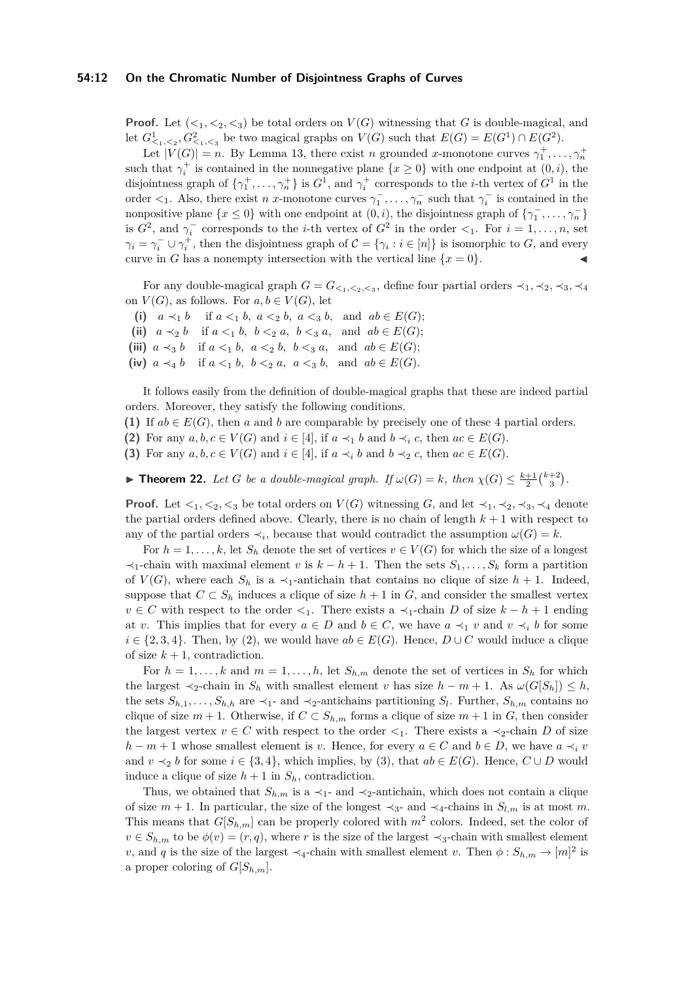## **54:12 On the Chromatic Number of Disjointness Graphs of Curves**

**Proof.** Let  $(<_1, <_2, <_3$ ) be total orders on  $V(G)$  witnessing that *G* is double-magical, and let  $G^1_{\leq_1,\leq_2}$ ,  $G^2_{\leq_1,\leq_3}$  be two magical graphs on  $V(G)$  such that  $E(G) = E(G^1) \cap E(G^2)$ .

Let  $|V(G)| = n$ . By Lemma [13,](#page-5-1) there exist *n* grounded *x*-monotone curves  $\gamma_1^+, \ldots, \gamma_n^+$ such that  $\gamma_i^+$  is contained in the nonnegative plane  $\{x \ge 0\}$  with one endpoint at  $(0, i)$ , the disjointness graph of  $\{\gamma_1^+, \ldots, \gamma_n^+\}$  is  $G^1$ , and  $\gamma_i^+$  corresponds to the *i*-th vertex of  $G^1$  in the order  $\lt_1$ . Also, there exist *n* x-monotone curves  $\gamma_1^-$ , ...,  $\gamma_n^-$  such that  $\gamma_i^-$  is contained in the nonpositive plane  $\{x \le 0\}$  with one endpoint at  $(0, i)$ , the disjointness graph of  $\{\gamma_1^-, \ldots, \gamma_n^-\}$ is  $G^2$ , and  $\gamma_i^-$  corresponds to the *i*-th vertex of  $G^2$  in the order  $\lt_1$ . For  $i = 1, \ldots, n$ , set  $\gamma_i = \gamma_i^- \cup \gamma_i^+$ , then the disjointness graph of  $\mathcal{C} = {\gamma_i : i \in [n]}$  is isomorphic to *G*, and every curve in *G* has a nonempty intersection with the vertical line  $\{x = 0\}$ .

For any double-magical graph  $G = G_{\leq_1,\leq_2,\leq_3}$ , define four partial orders  $\prec_1, \prec_2, \prec_3, \prec_4$ on  $V(G)$ , as follows. For  $a, b \in V(G)$ , let

- (i)  $a \prec_1 b$  if  $a \le_1 b$ ,  $a \le_2 b$ ,  $a \le_3 b$ , and  $ab \in E(G)$ ;
- (ii)  $a \prec_2 b$  if  $a \leq_1 b, b \leq_2 a, b \leq_3 a,$  and  $ab \in E(G)$ ;
- (iii)  $a \prec_3 b$  if  $a \leq_1 b$ ,  $a \leq_2 b$ ,  $b \leq_3 a$ , and  $ab \in E(G)$ ;
- (iv)  $a \prec_4 b$  if  $a \leq_1 b$ ,  $b \leq_2 a$ ,  $a \leq_3 b$ , and  $ab \in E(G)$ .

It follows easily from the definition of double-magical graphs that these are indeed partial orders. Moreover, they satisfy the following conditions.

(1) If  $ab \in E(G)$ , then *a* and *b* are comparable by precisely one of these 4 partial orders.

- **(2)** For any  $a, b, c \in V(G)$  and  $i \in [4]$ , if  $a \prec_1 b$  and  $b \prec_i c$ , then  $ac \in E(G)$ .
- **(3)** For any  $a, b, c \in V(G)$  and  $i \in [4]$ , if  $a \prec_i b$  and  $b \prec_2 c$ , then  $ac \in E(G)$ .

<span id="page-11-0"></span>**► Theorem 22.** *Let G be a double-magical graph. If*  $\omega(G) = k$ *, then*  $\chi(G) \leq \frac{k+1}{2} {k+2 \choose 3}$ *.* 

**Proof.** Let  $\langle 1, \langle 2, \langle 3 \rangle \rangle$  be total orders on  $V(G)$  witnessing *G*, and let  $\langle 1, \langle 2, \langle 3, \rangle \rangle$  denote the partial orders defined above. Clearly, there is no chain of length  $k + 1$  with respect to any of the partial orders  $\prec_i$ , because that would contradict the assumption  $\omega(G) = k$ .

For  $h = 1, \ldots, k$ , let  $S_h$  denote the set of vertices  $v \in V(G)$  for which the size of a longest  $\prec_1$ -chain with maximal element *v* is  $k - h + 1$ . Then the sets  $S_1, \ldots, S_k$  form a partition of  $V(G)$ , where each  $S_h$  is a  $\prec_1$ -antichain that contains no clique of size  $h + 1$ . Indeed, suppose that  $C \subset S_h$  induces a clique of size  $h + 1$  in *G*, and consider the smallest vertex *v* ∈ *C* with respect to the order  $\lt_1$ . There exists a  $\lt_1$ -chain *D* of size  $k - h + 1$  ending at *v*. This implies that for every  $a \in D$  and  $b \in C$ , we have  $a \prec_1 v$  and  $v \prec_i b$  for some  $i \in \{2, 3, 4\}$ . Then, by (2), we would have  $ab \in E(G)$ . Hence,  $D \cup C$  would induce a clique of size  $k + 1$ , contradiction.

For  $h = 1, \ldots, k$  and  $m = 1, \ldots, h$ , let  $S_{h,m}$  denote the set of vertices in  $S_h$  for which the largest  $\prec_2$ -chain in  $S_h$  with smallest element *v* has size  $h - m + 1$ . As  $\omega(G[S_h]) \leq h$ , the sets  $S_{h,1}, \ldots, S_{h,h}$  are  $\prec_1$ - and  $\prec_2$ -antichains partitioning  $S_l$ . Further,  $S_{h,m}$  contains no clique of size  $m + 1$ . Otherwise, if  $C \subset S_{h,m}$  forms a clique of size  $m + 1$  in *G*, then consider the largest vertex  $v \in C$  with respect to the order  $\lt_1$ . There exists a  $\lt_2$ -chain *D* of size *h* − *m* + 1 whose smallest element is *v*. Hence, for every  $a \in C$  and  $b \in D$ , we have  $a \prec_i v$ and  $v \prec_2 b$  for some  $i \in \{3, 4\}$ , which implies, by (3), that  $ab \in E(G)$ . Hence,  $C \cup D$  would induce a clique of size  $h + 1$  in  $S_h$ , contradiction.

Thus, we obtained that  $S_{h,m}$  is a  $\prec_1$ - and  $\prec_2$ -antichain, which does not contain a clique of size  $m + 1$ . In particular, the size of the longest  $\prec_3$ - and  $\prec_4$ -chains in  $S_{l,m}$  is at most m. This means that  $G[S_{h,m}]$  can be properly colored with  $m^2$  colors. Indeed, set the color of  $v \in S_{h,m}$  to be  $\phi(v) = (r,q)$ , where *r* is the size of the largest  $\prec_3$ -chain with smallest element *v*, and *q* is the size of the largest  $\prec_4$ -chain with smallest element *v*. Then  $\phi: S_{h,m} \to [m]^2$  is a proper coloring of  $G[S_{h,m}].$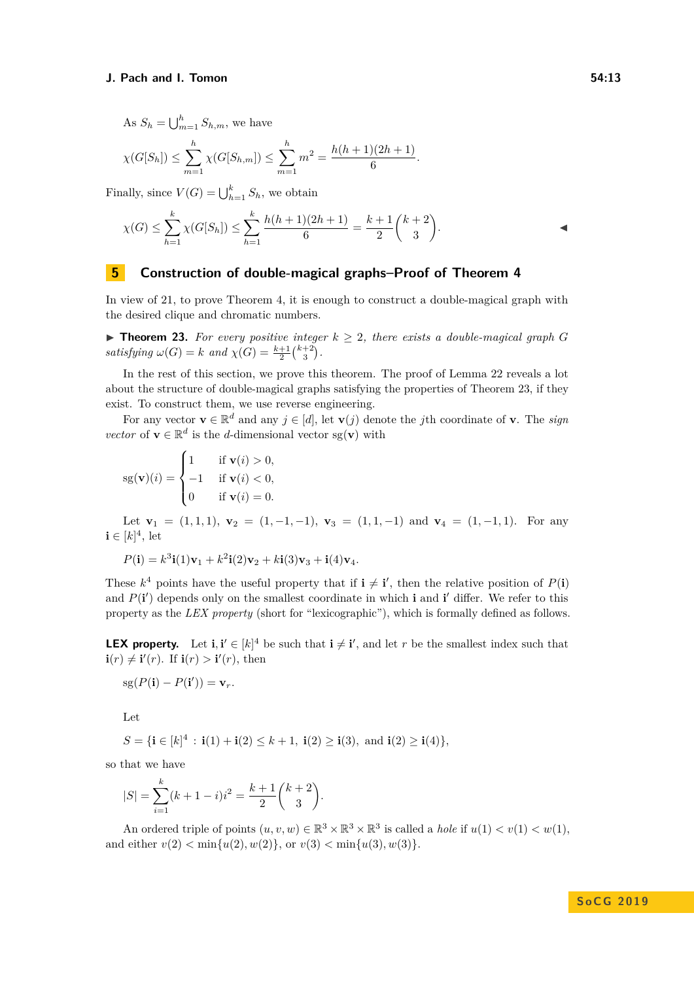As  $S_h = \bigcup_{m=1}^h S_{h,m}$ , we have

$$
\chi(G[S_h]) \leq \sum_{m=1}^h \chi(G[S_{h,m}]) \leq \sum_{m=1}^h m^2 = \frac{h(h+1)(2h+1)}{6}.
$$

Finally, since  $V(G) = \bigcup_{h=1}^{k} S_h$ , we obtain

$$
\chi(G) \le \sum_{h=1}^{k} \chi(G[S_h]) \le \sum_{h=1}^{k} \frac{h(h+1)(2h+1)}{6} = \frac{k+1}{2} {k+2 \choose 3}.
$$

# <span id="page-12-0"></span>**5 Construction of double-magical graphs–Proof of Theorem [4](#page-2-2)**

In view of [21,](#page-10-2) to prove Theorem [4,](#page-2-2) it is enough to construct a double-magical graph with the desired clique and chromatic numbers.

<span id="page-12-1"></span>▶ **Theorem 23.** For every positive integer  $k \geq 2$ , there exists a double-magical graph *G*  $satisfying \omega(G) = k \ and \ \chi(G) = \frac{k+1}{2} {k+2 \choose 3}.$ 

In the rest of this section, we prove this theorem. The proof of Lemma [22](#page-11-0) reveals a lot about the structure of double-magical graphs satisfying the properties of Theorem [23,](#page-12-1) if they exist. To construct them, we use reverse engineering.

For any vector  $\mathbf{v} \in \mathbb{R}^d$  and any  $j \in [d]$ , let  $\mathbf{v}(j)$  denote the *j*th coordinate of **v**. The *sign vector* of **v**  $\in \mathbb{R}^d$  is the *d*-dimensional vector sg(**v**) with

$$
sg(\mathbf{v})(i) = \begin{cases} 1 & \text{if } \mathbf{v}(i) > 0, \\ -1 & \text{if } \mathbf{v}(i) < 0, \\ 0 & \text{if } \mathbf{v}(i) = 0. \end{cases}
$$

Let  $\mathbf{v}_1 = (1, 1, 1), \mathbf{v}_2 = (1, -1, -1), \mathbf{v}_3 = (1, 1, -1)$  and  $\mathbf{v}_4 = (1, -1, 1)$ . For any  $\mathbf{i} \in [k]^4$ , let

$$
P(\mathbf{i}) = k^3 \mathbf{i}(1)\mathbf{v}_1 + k^2 \mathbf{i}(2)\mathbf{v}_2 + k \mathbf{i}(3)\mathbf{v}_3 + \mathbf{i}(4)\mathbf{v}_4.
$$

These  $k^4$  points have the useful property that if  $\mathbf{i} \neq \mathbf{i}'$ , then the relative position of  $P(\mathbf{i})$ and  $P(\mathbf{i}')$  depends only on the smallest coordinate in which  $\mathbf{i}$  and  $\mathbf{i}'$  differ. We refer to this property as the *LEX property* (short for "lexicographic"), which is formally defined as follows.

**LEX property.** Let  $\mathbf{i}, \mathbf{i}' \in [k]^4$  be such that  $\mathbf{i} \neq \mathbf{i}'$ , and let *r* be the smallest index such that  $\mathbf{i}(r) \neq \mathbf{i}'(r)$ . If  $\mathbf{i}(r) > \mathbf{i}'(r)$ , then

$$
sg(P(\mathbf{i}) - P(\mathbf{i}')) = \mathbf{v}_r.
$$

Let

$$
S = \{ \mathbf{i} \in [k]^4 : \mathbf{i}(1) + \mathbf{i}(2) \le k + 1, \ \mathbf{i}(2) \ge \mathbf{i}(3), \ \text{and} \ \mathbf{i}(2) \ge \mathbf{i}(4) \},
$$

so that we have

$$
|S| = \sum_{i=1}^{k} (k+1-i)i^2 = \frac{k+1}{2} \binom{k+2}{3}.
$$

An ordered triple of points  $(u, v, w) \in \mathbb{R}^3 \times \mathbb{R}^3 \times \mathbb{R}^3$  is called a *hole* if  $u(1) < v(1) < w(1)$ , and either  $v(2) < \min\{u(2), w(2)\}\text{, or } v(3) < \min\{u(3), w(3)\}\text{.}$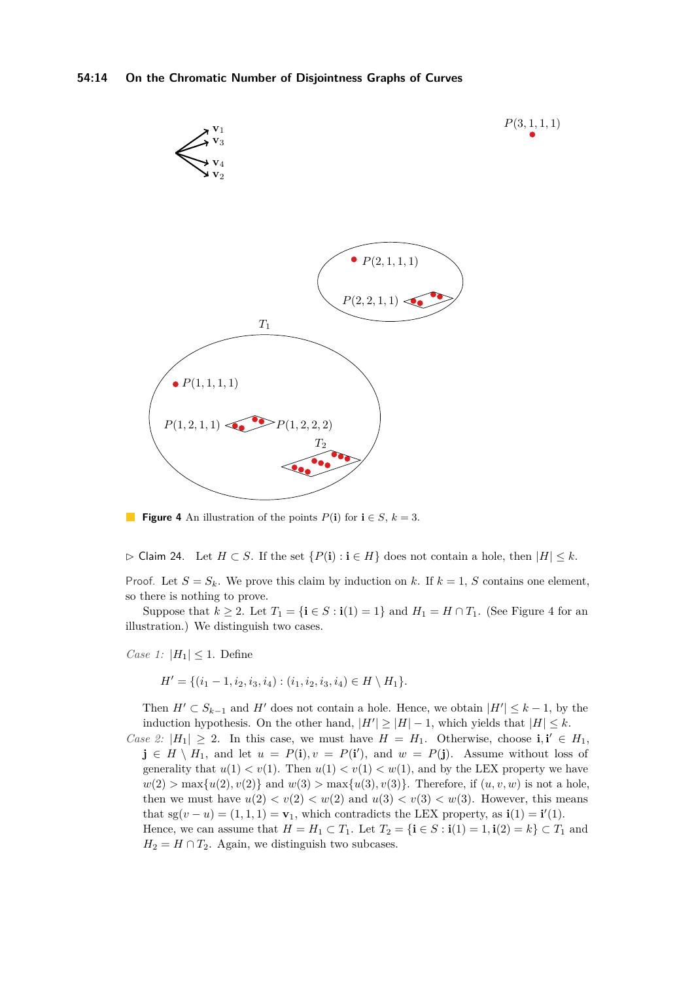<span id="page-13-0"></span>

**Figure 4** An illustration of the points  $P(\mathbf{i})$  for  $\mathbf{i} \in S$ ,  $k = 3$ .

 $\triangleright$  Claim 24. Let  $H \subset S$ . If the set  $\{P(\mathbf{i}) : \mathbf{i} \in H\}$  does not contain a hole, then  $|H| \leq k$ .

Proof. Let  $S = S_k$ . We prove this claim by induction on *k*. If  $k = 1$ , *S* contains one element, so there is nothing to prove.

Suppose that  $k \geq 2$ . Let  $T_1 = {\mathbf{i} \in S : \mathbf{i}(1) = 1}$  and  $H_1 = H \cap T_1$ . (See Figure [4](#page-13-0) for an illustration.) We distinguish two cases.

*Case 1:*  $|H_1| \leq 1$ . Define

$$
H' = \{ (i_1 - 1, i_2, i_3, i_4) : (i_1, i_2, i_3, i_4) \in H \setminus H_1 \}.
$$

Then  $H' \subset S_{k-1}$  and  $H'$  does not contain a hole. Hence, we obtain  $|H'| \leq k-1$ , by the induction hypothesis. On the other hand,  $|H'| \geq |H| - 1$ , which yields that  $|H| \leq k$ .

*Case 2:*  $|H_1| \geq 2$ . In this case, we must have  $H = H_1$ . Otherwise, choose **i**, **i**<sup> $\prime \in H_1$ ,</sup> **j** ∈ *H* \ *H*<sub>1</sub>, and let *u* = *P*(**i**), *v* = *P*(**i**<sup> $\prime$ </sup>), and *w* = *P*(**j**). Assume without loss of generality that  $u(1) < v(1)$ . Then  $u(1) < v(1) < w(1)$ , and by the LEX property we have  $w(2) > \max\{u(2), v(2)\}\$ and  $w(3) > \max\{u(3), v(3)\}\$ . Therefore, if  $(u, v, w)$  is not a hole, then we must have  $u(2) < v(2) < w(2)$  and  $u(3) < v(3) < w(3)$ . However, this means that  $sg(v - u) = (1, 1, 1) = v_1$ , which contradicts the LEX property, as  $\mathbf{i}(1) = \mathbf{i}'(1)$ . Hence, we can assume that  $H = H_1 \subset T_1$ . Let  $T_2 = {\mathbf{i} \in S : \mathbf{i}(1) = 1, \mathbf{i}(2) = k} \subset T_1$  and  $H_2 = H \cap T_2$ . Again, we distinguish two subcases.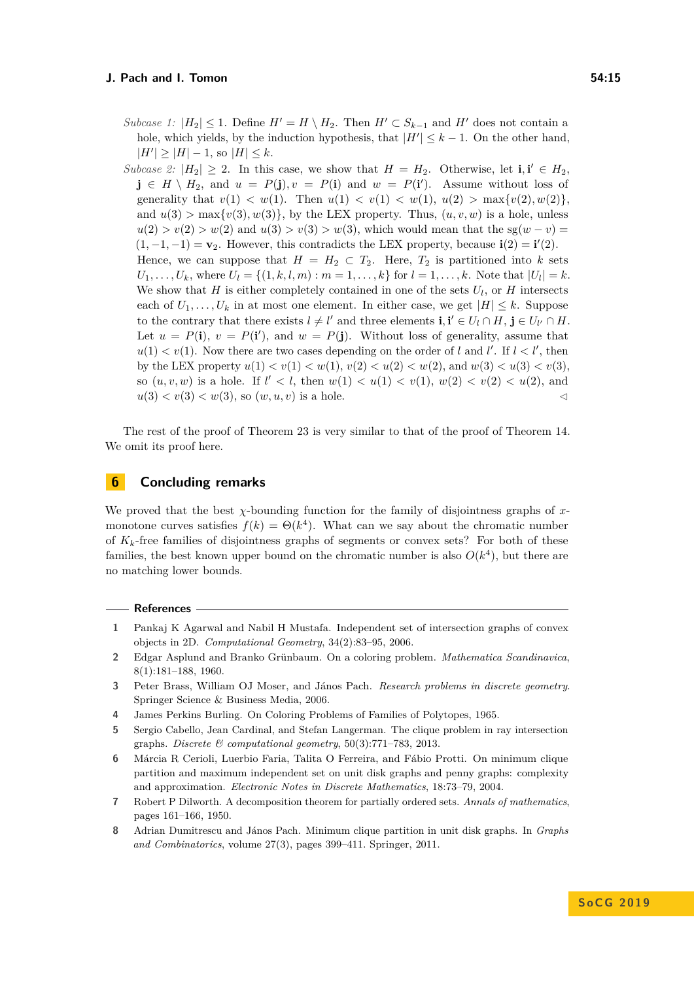*Subcase 1:*  $|H_2| \leq 1$ . Define  $H' = H \setminus H_2$ . Then  $H' \subset S_{k-1}$  and  $H'$  does not contain a hole, which yields, by the induction hypothesis, that  $|H'| \leq k - 1$ . On the other hand,  $|H'| \geq |H| - 1$ , so  $|H| \leq k$ .

*Subcase 2:*  $|H_2| \geq 2$ . In this case, we show that  $H = H_2$ . Otherwise, let **i**, **i**'  $\in H_2$ ,  $\mathbf{j} \in H \setminus H_2$ , and  $u = P(\mathbf{j}), v = P(\mathbf{i})$  and  $w = P(\mathbf{i}').$  Assume without loss of generality that  $v(1) < w(1)$ . Then  $u(1) < v(1) < w(1)$ ,  $u(2) > \max\{v(2), w(2)\}\$ and  $u(3) > \max\{v(3), w(3)\}\)$ , by the LEX property. Thus,  $(u, v, w)$  is a hole, unless  $u(2) > v(2) > w(2)$  and  $u(3) > v(3) > w(3)$ , which would mean that the sg( $w - v$ ) =  $(1, -1, -1) = \mathbf{v}_2$ . However, this contradicts the LEX property, because  $\mathbf{i}(2) = \mathbf{i}'(2)$ . Hence, we can suppose that  $H = H_2 \subset T_2$ . Here,  $T_2$  is partitioned into *k* sets  $U_1, \ldots, U_k$ , where  $U_l = \{(1, k, l, m) : m = 1, \ldots, k\}$  for  $l = 1, \ldots, k$ . Note that  $|U_l| = k$ . We show that  $H$  is either completely contained in one of the sets  $U_l$ , or  $H$  intersects each of  $U_1, \ldots, U_k$  in at most one element. In either case, we get  $|H| \leq k$ . Suppose to the contrary that there exists  $l \neq l'$  and three elements  $\mathbf{i}, \mathbf{i}' \in U_l \cap H$ ,  $\mathbf{j} \in U_{l'} \cap H$ . Let  $u = P(\mathbf{i}), v = P(\mathbf{i}'),$  and  $w = P(\mathbf{j}).$  Without loss of generality, assume that  $u(1) < v(1)$ . Now there are two cases depending on the order of *l* and *l'*. If  $l < l'$ , then by the LEX property  $u(1) < v(1) < w(1)$ ,  $v(2) < u(2) < w(2)$ , and  $w(3) < u(3) < v(3)$ . so  $(u, v, w)$  is a hole. If  $l' < l$ , then  $w(1) < u(1) < v(1)$ ,  $w(2) < v(2) < u(2)$ , and  $u(3) < v(3) < w(3)$ , so  $(w, u, v)$  is a hole.

The rest of the proof of Theorem [23](#page-12-1) is very similar to that of the proof of Theorem [14.](#page-6-1) We omit its proof here.

# <span id="page-14-8"></span>**6 Concluding remarks**

We proved that the best *χ*-bounding function for the family of disjointness graphs of xmonotone curves satisfies  $f(k) = \Theta(k^4)$ . What can we say about the chromatic number of *Kk*-free families of disjointness graphs of segments or convex sets? For both of these families, the best known upper bound on the chromatic number is also  $O(k^4)$ , but there are no matching lower bounds.

#### **References**

- <span id="page-14-0"></span>**1** Pankaj K Agarwal and Nabil H Mustafa. Independent set of intersection graphs of convex objects in 2D. *Computational Geometry*, 34(2):83–95, 2006.
- <span id="page-14-2"></span>**2** Edgar Asplund and Branko Grünbaum. On a coloring problem. *Mathematica Scandinavica*, 8(1):181–188, 1960.
- <span id="page-14-6"></span>**3** Peter Brass, William OJ Moser, and János Pach. *Research problems in discrete geometry*. Springer Science & Business Media, 2006.
- <span id="page-14-3"></span>**4** James Perkins Burling. On Coloring Problems of Families of Polytopes, 1965.
- <span id="page-14-1"></span>**5** Sergio Cabello, Jean Cardinal, and Stefan Langerman. The clique problem in ray intersection graphs. *Discrete & computational geometry*, 50(3):771–783, 2013.
- <span id="page-14-4"></span>**6** Márcia R Cerioli, Luerbio Faria, Talita O Ferreira, and Fábio Protti. On minimum clique partition and maximum independent set on unit disk graphs and penny graphs: complexity and approximation. *Electronic Notes in Discrete Mathematics*, 18:73–79, 2004.
- <span id="page-14-7"></span>**7** Robert P Dilworth. A decomposition theorem for partially ordered sets. *Annals of mathematics*, pages 161–166, 1950.
- <span id="page-14-5"></span>**8** Adrian Dumitrescu and János Pach. Minimum clique partition in unit disk graphs. In *Graphs and Combinatorics*, volume 27(3), pages 399–411. Springer, 2011.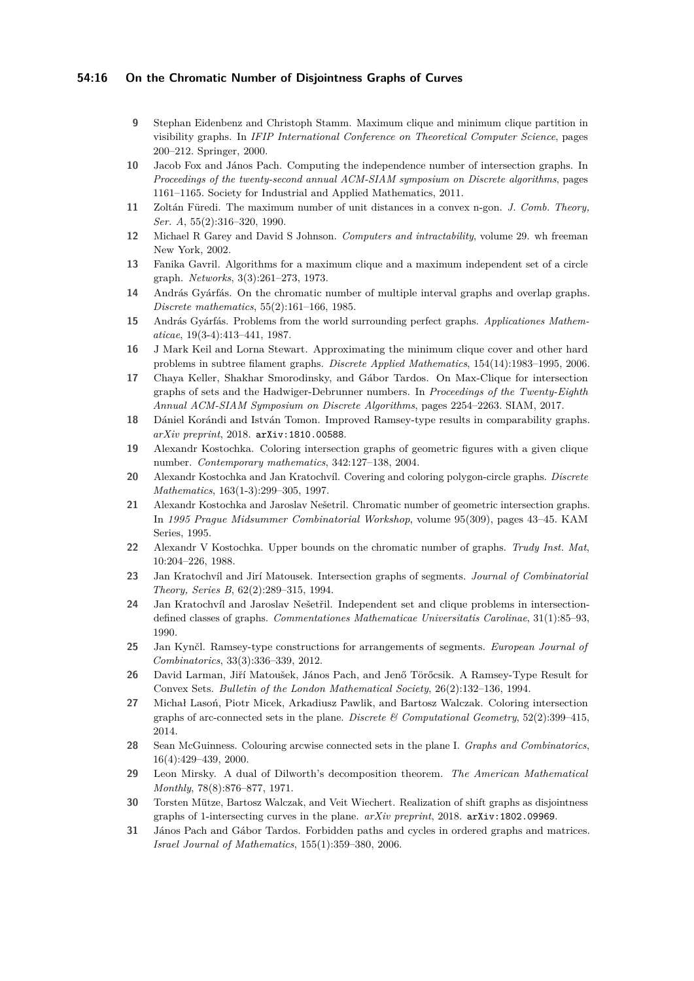## **54:16 On the Chromatic Number of Disjointness Graphs of Curves**

- <span id="page-15-12"></span>**9** Stephan Eidenbenz and Christoph Stamm. Maximum clique and minimum clique partition in visibility graphs. In *IFIP International Conference on Theoretical Computer Science*, pages 200–212. Springer, 2000.
- <span id="page-15-0"></span>**10** Jacob Fox and János Pach. Computing the independence number of intersection graphs. In *Proceedings of the twenty-second annual ACM-SIAM symposium on Discrete algorithms*, pages 1161–1165. Society for Industrial and Applied Mathematics, 2011.
- <span id="page-15-18"></span>**11** Zoltán Füredi. The maximum number of unit distances in a convex n-gon. *J. Comb. Theory, Ser. A*, 55(2):316–320, 1990.
- <span id="page-15-11"></span>**12** Michael R Garey and David S Johnson. *Computers and intractability*, volume 29. wh freeman New York, 2002.
- <span id="page-15-9"></span>**13** Fanika Gavril. Algorithms for a maximum clique and a maximum independent set of a circle graph. *Networks*, 3(3):261–273, 1973.
- <span id="page-15-4"></span>**14** András Gyárfás. On the chromatic number of multiple interval graphs and overlap graphs. *Discrete mathematics*, 55(2):161–166, 1985.
- <span id="page-15-5"></span>**15** András Gyárfás. Problems from the world surrounding perfect graphs. *Applicationes Mathematicae*, 19(3-4):413–441, 1987.
- <span id="page-15-10"></span>**16** J Mark Keil and Lorna Stewart. Approximating the minimum clique cover and other hard problems in subtree filament graphs. *Discrete Applied Mathematics*, 154(14):1983–1995, 2006.
- <span id="page-15-1"></span>**17** Chaya Keller, Shakhar Smorodinsky, and Gábor Tardos. On Max-Clique for intersection graphs of sets and the Hadwiger-Debrunner numbers. In *Proceedings of the Twenty-Eighth Annual ACM-SIAM Symposium on Discrete Algorithms*, pages 2254–2263. SIAM, 2017.
- <span id="page-15-22"></span>**18** Dániel Korándi and István Tomon. Improved Ramsey-type results in comparability graphs. *arXiv preprint*, 2018. [arXiv:1810.00588](http://arxiv.org/abs/1810.00588).
- <span id="page-15-7"></span>**19** Alexandr Kostochka. Coloring intersection graphs of geometric figures with a given clique number. *Contemporary mathematics*, 342:127–138, 2004.
- <span id="page-15-8"></span>**20** Alexandr Kostochka and Jan Kratochvíl. Covering and coloring polygon-circle graphs. *Discrete Mathematics*, 163(1-3):299–305, 1997.
- <span id="page-15-13"></span>**21** Alexandr Kostochka and Jaroslav Nešetril. Chromatic number of geometric intersection graphs. In *1995 Prague Midsummer Combinatorial Workshop*, volume 95(309), pages 43–45. KAM Series, 1995.
- <span id="page-15-6"></span>**22** Alexandr V Kostochka. Upper bounds on the chromatic number of graphs. *Trudy Inst. Mat*, 10:204–226, 1988.
- <span id="page-15-2"></span>**23** Jan Kratochvíl and Jirí Matousek. Intersection graphs of segments. *Journal of Combinatorial Theory, Series B*, 62(2):289–315, 1994.
- <span id="page-15-3"></span>**24** Jan Kratochvíl and Jaroslav Nešetřil. Independent set and clique problems in intersectiondefined classes of graphs. *Commentationes Mathematicae Universitatis Carolinae*, 31(1):85–93, 1990.
- <span id="page-15-21"></span>**25** Jan Kynčl. Ramsey-type constructions for arrangements of segments. *European Journal of Combinatorics*, 33(3):336–339, 2012.
- <span id="page-15-17"></span>**26** David Larman, Jiří Matoušek, János Pach, and Jenő Törőcsik. A Ramsey-Type Result for Convex Sets. *Bulletin of the London Mathematical Society*, 26(2):132–136, 1994.
- <span id="page-15-15"></span>**27** Michał Lasoń, Piotr Micek, Arkadiusz Pawlik, and Bartosz Walczak. Coloring intersection graphs of arc-connected sets in the plane. *Discrete & Computational Geometry*, 52(2):399–415, 2014.
- <span id="page-15-14"></span>**28** Sean McGuinness. Colouring arcwise connected sets in the plane I. *Graphs and Combinatorics*, 16(4):429–439, 2000.
- <span id="page-15-20"></span>**29** Leon Mirsky. A dual of Dilworth's decomposition theorem. *The American Mathematical Monthly*, 78(8):876–877, 1971.
- <span id="page-15-16"></span>**30** Torsten Mütze, Bartosz Walczak, and Veit Wiechert. Realization of shift graphs as disjointness graphs of 1-intersecting curves in the plane. *arXiv preprint*, 2018. [arXiv:1802.09969](http://arxiv.org/abs/1802.09969).
- <span id="page-15-19"></span>**31** János Pach and Gábor Tardos. Forbidden paths and cycles in ordered graphs and matrices. *Israel Journal of Mathematics*, 155(1):359–380, 2006.